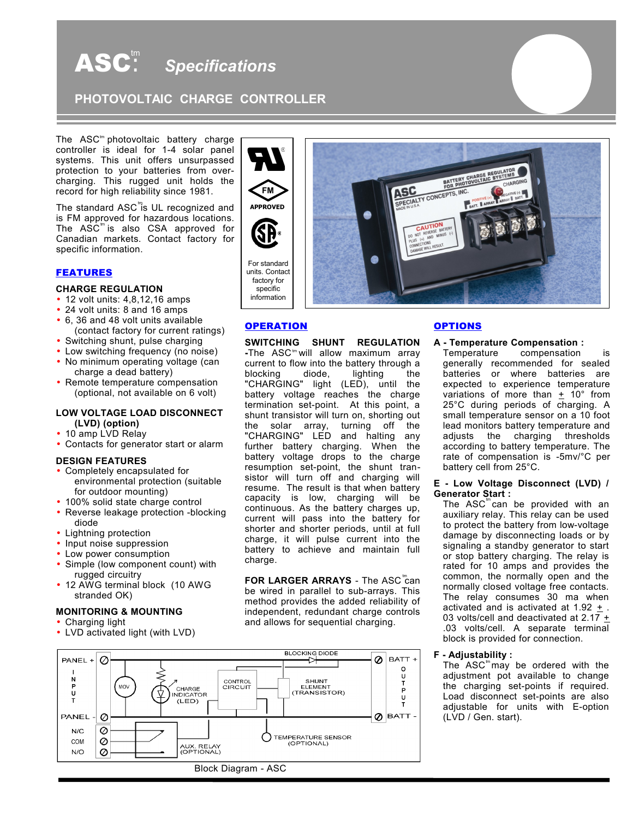# $\mathbf{ASC}^{\text{tm}}$  Specifications

**PHOTOVOLTAIC CHARGE CONTROLLER** 

The  $\text{ASC}^{\text{tm}}$  photovoltaic battery charge controller is ideal for 1-4 solar panel systems. This unit offers unsurpassed protection to your batteries from overcharging. This rugged unit holds the record for high reliability since 1981.

The standard ASC<sup>"</sup>is UL recognized and The  $\overline{\text{ASC}}^{\text{m}}$  is also CSA approved for is FM approved for hazardous locations. Canadian markets. Contact factory for specific information.

# FEATURES

# **CHARGE REGULATION**

- 12 volt units: 4,8,12,16 amps
- 24 volt units: 8 and 16 amps
- 6, 36 and 48 volt units available (contact factory for current ratings)
- Switching shunt, pulse charging
- Low switching frequency (no noise)
- No minimum operating voltage (can charge a dead battery)
- Remote temperature compensation (optional, not available on 6 volt)

#### **LOW VOLTAGE LOAD DISCONNECT (LVD) (option)**

- 10 amp LVD Relay
- Contacts for generator start or alarm

#### **DESIGN FEATURES**

- Completely encapsulated for environmental protection (suitable for outdoor mounting)
- 100% solid state charge control
- Reverse leakage protection -blocking diode
- Lightning protection
- Input noise suppression
- Low power consumption
- Simple (low component count) with rugged circuitry
- 12 AWG terminal block (10 AWG stranded OK)

#### **MONITORING & MOUNTING**

- Charging light
- LVD activated light (with LVD)



### **OPERATION**

**FM**

**-The ASC<sup>to</sup>will allow maximum array SWITCHING SHUNT REGULATION** current to flow into the battery through a<br>blocking diode, lighting the blocking diode, lighting the "CHARGING" light (LED), until the battery voltage reaches the charge termination set-point. At this point, a shunt transistor will turn on, shorting out the solar array, turning off the "CHARGING" LED and halting any further battery charging. When the battery voltage drops to the charge resumption set-point, the shunt transistor will turn off and charging will resume. The result is that when battery capacity is low, charging will be continuous. As the battery charges up, current will pass into the battery for shorter and shorter periods, until at full charge, it will pulse current into the battery to achieve and maintain full charge.

**FOR LARGER ARRAYS** - The ASC<sup>rr</sup>can be wired in parallel to sub-arrays. This method provides the added reliability of independent, redundant charge controls and allows for sequential charging.



# **OPTIONS**

#### **A - Temperature Compensation :**

Temperature compensation is generally recommended for sealed batteries or where batteries are expected to experience temperature variations of more than  $\pm$  10° from 25°C during periods of charging. A small temperature sensor on a 10 foot lead monitors battery temperature and adjusts the charging thresholds according to battery temperature. The rate of compensation is -5mv/°C per battery cell from 25°C.

### **E - Low Voltage Disconnect (LVD) / Generator Start :**

The  $\texttt{ASC}^{\text{tm}}$ can be provided with an auxiliary relay. This relay can be used to protect the battery from low-voltage damage by disconnecting loads or by signaling a standby generator to start or stop battery charging. The relay is rated for 10 amps and provides the common, the normally open and the normally closed voltage free contacts. The relay consumes 30 ma when activated and is activated at 1.92  $\pm$ . 03 volts/cell and deactivated at 2.17  $+$ .03 volts/cell. A separate terminal block is provided for connection.

#### **F - Adjustability :**

The  $ASC^m$  may be ordered with the adjustment pot available to change the charging set-points if required. Load disconnect set-points are also adjustable for units with E-option (LVD / Gen. start).